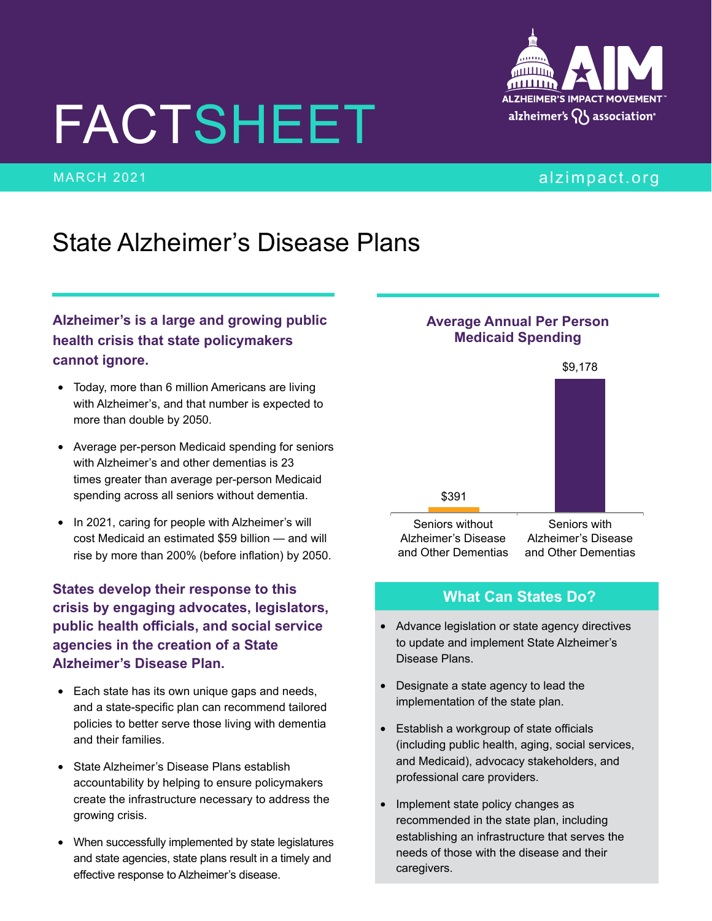# FACTSHEET

## State Alzheimer's Disease Plans

#### **Alzheimer's is a large and growing public health crisis that state policymakers cannot ignore.**

- Today, more than 6 million Americans are living with Alzheimer's, and that number is expected to more than double by 2050.
- Average per-person Medicaid spending for seniors with Alzheimer's and other dementias is 23 times greater than average per-person Medicaid spending across all seniors without dementia.
- In 2021, caring for people with Alzheimer's will cost Medicaid an estimated \$59 billion — and will rise by more than 200% (before inflation) by 2050.

**States develop their response to this crisis by engaging advocates, legislators, public health officials, and social service agencies in the creation of a State Alzheimer's Disease Plan.**

- Each state has its own unique gaps and needs, and a state-specific plan can recommend tailored policies to better serve those living with dementia and their families.
- State Alzheimer's Disease Plans establish accountability by helping to ensure policymakers create the infrastructure necessary to address the growing crisis.
- When successfully implemented by state legislatures and state agencies, state plans result in a timely and effective response to Alzheimer's disease.

#### **Average Annual Per Person Medicaid Spending**



#### **What Can States Do?**

- Advance legislation or state agency directives to update and implement State Alzheimer's Disease Plans.
- Designate a state agency to lead the implementation of the state plan.
- Establish a workgroup of state officials (including public health, aging, social services, and Medicaid), advocacy stakeholders, and professional care providers.
- Implement state policy changes as recommended in the state plan, including establishing an infrastructure that serves the needs of those with the disease and their caregivers.



#### MARCH 2021 **alias and the contract of the contract of the contract of the contract of the contract of the contract of the contract of the contract of the contract of the contract of the contract of the contract of the cont**